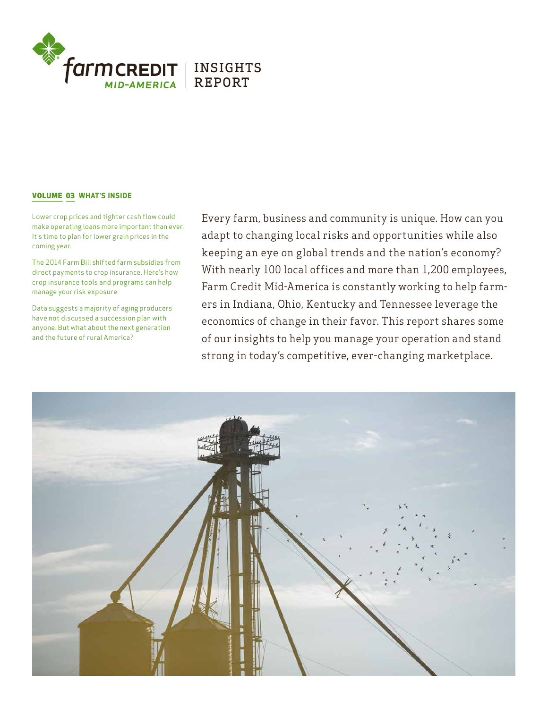

# VOLUME 03 WHAT'S INSIDE

Lower crop prices and tighter cash flow could make operating loans more important than ever. It's time to plan for lower grain prices in the coming year.

The 2014 Farm Bill shifted farm subsidies from direct payments to crop insurance. Here's how crop insurance tools and programs can help manage your risk exposure.

Data suggests a majority of aging producers have not discussed a succession plan with anyone. But what about the next generation and the future of rural America?

Every farm, business and community is unique. How can you adapt to changing local risks and opportunities while also keeping an eye on global trends and the nation's economy? With nearly 100 local offices and more than 1,200 employees, Farm Credit Mid-America is constantly working to help farmers in Indiana, Ohio, Kentucky and Tennessee leverage the economics of change in their favor. This report shares some of our insights to help you manage your operation and stand strong in today's competitive, ever-changing marketplace.

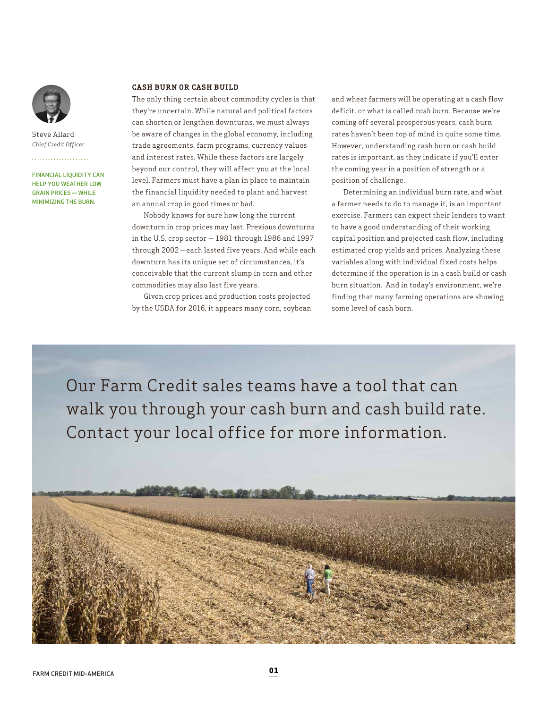

Steve Allard *Chief Credit Officer*

. . . . . . . . . . . . . . . . .

#### FINANCIAL LIQUIDITY CAN HELP YOU WEATHER LOW GRAIN PRICES—WHILE

MINIMIZING THE BURN.

# **CASH BURN OR CASH BUILD**

The only thing certain about commodity cycles is that they're uncertain. While natural and political factors can shorten or lengthen downturns, we must always be aware of changes in the global economy, including trade agreements, farm programs, currency values and interest rates. While these factors are largely beyond our control, they will affect you at the local level. Farmers must have a plan in place to maintain the financial liquidity needed to plant and harvest an annual crop in good times or bad.

Nobody knows for sure how long the current downturn in crop prices may last. Previous downturns in the U.S. crop sector  $-1981$  through 1986 and 1997 through 2002 — each lasted five years. And while each downturn has its unique set of circumstances, it's conceivable that the current slump in corn and other commodities may also last five years.

Given crop prices and production costs projected by the USDA for 2016, it appears many corn, soybean

and wheat farmers will be operating at a cash flow deficit, or what is called *cash burn*. Because we're coming off several prosperous years, cash burn rates haven't been top of mind in quite some time. However, understanding cash burn or cash build rates is important, as they indicate if you'll enter the coming year in a position of strength or a position of challenge.

Determining an individual burn rate, and what a farmer needs to do to manage it, is an important exercise. Farmers can expect their lenders to want to have a good understanding of their working capital position and projected cash flow, including estimated crop yields and prices. Analyzing these variables along with individual fixed costs helps determine if the operation is in a cash build or cash burn situation. And in today's environment, we're finding that many farming operations are showing some level of cash burn.

Our Farm Credit sales teams have a tool that can walk you through your cash burn and cash build rate. Contact your local office for more information.

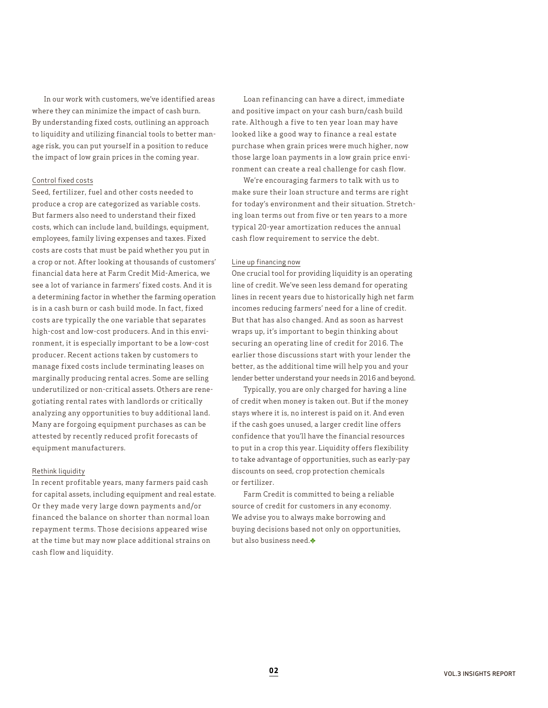In our work with customers, we've identified areas where they can minimize the impact of cash burn. By understanding fixed costs, outlining an approach to liquidity and utilizing financial tools to better manage risk, you can put yourself in a position to reduce the impact of low grain prices in the coming year.

# Control fixed costs

Seed, fertilizer, fuel and other costs needed to produce a crop are categorized as variable costs. But farmers also need to understand their fixed costs, which can include land, buildings, equipment, employees, family living expenses and taxes. Fixed costs are costs that must be paid whether you put in a crop or not. After looking at thousands of customers' financial data here at Farm Credit Mid-America, we see a lot of variance in farmers' fixed costs. And it is a determining factor in whether the farming operation is in a cash burn or cash build mode. In fact, fixed costs are typically the one variable that separates high-cost and low-cost producers. And in this environment, it is especially important to be a low-cost producer. Recent actions taken by customers to manage fixed costs include terminating leases on marginally producing rental acres. Some are selling underutilized or non-critical assets. Others are renegotiating rental rates with landlords or critically analyzing any opportunities to buy additional land. Many are forgoing equipment purchases as can be attested by recently reduced profit forecasts of equipment manufacturers.

# Rethink liquidity

In recent profitable years, many farmers paid cash for capital assets, including equipment and real estate. Or they made very large down payments and/or financed the balance on shorter than normal loan repayment terms. Those decisions appeared wise at the time but may now place additional strains on cash flow and liquidity.

Loan refinancing can have a direct, immediate and positive impact on your cash burn/cash build rate. Although a five to ten year loan may have looked like a good way to finance a real estate purchase when grain prices were much higher, now those large loan payments in a low grain price environment can create a real challenge for cash flow.

We're encouraging farmers to talk with us to make sure their loan structure and terms are right for today's environment and their situation. Stretching loan terms out from five or ten years to a more typical 20-year amortization reduces the annual cash flow requirement to service the debt.

### Line up financing now

One crucial tool for providing liquidity is an operating line of credit. We've seen less demand for operating lines in recent years due to historically high net farm incomes reducing farmers' need for a line of credit. But that has also changed. And as soon as harvest wraps up, it's important to begin thinking about securing an operating line of credit for 2016. The earlier those discussions start with your lender the better, as the additional time will help you and your lender better understand your needs in 2016 and beyond.

Typically, you are only charged for having a line of credit when money is taken out. But if the money stays where it is, no interest is paid on it. And even if the cash goes unused, a larger credit line offers confidence that you'll have the financial resources to put in a crop this year. Liquidity offers flexibility to take advantage of opportunities, such as early-pay discounts on seed, crop protection chemicals or fertilizer.

Farm Credit is committed to being a reliable source of credit for customers in any economy. We advise you to always make borrowing and buying decisions based not only on opportunities, but also business need.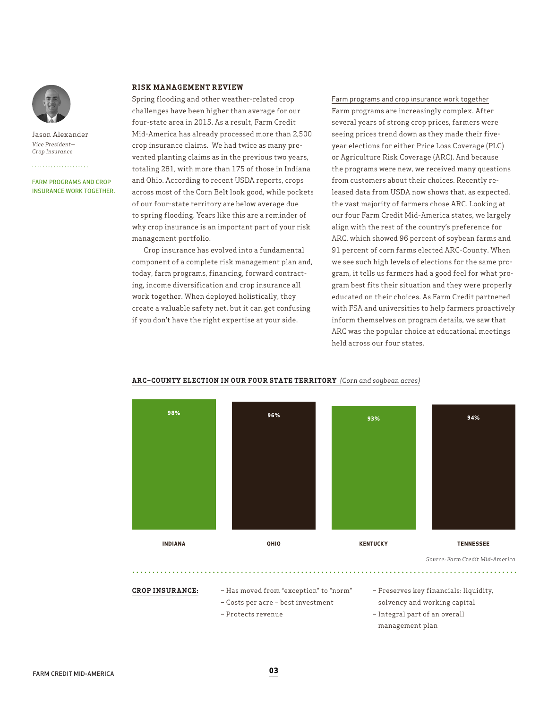

Jason Alexander *Vice President— Crop Insurance*

. . . . . . . . . . . . . . . . . . . .

FARM PROGRAMS AND CROP INSURANCE WORK TOGETHER.

#### **RISK MANAGEMENT REVIEW**

Spring flooding and other weather-related crop challenges have been higher than average for our four-state area in 2015. As a result, Farm Credit Mid-America has already processed more than 2,500 crop insurance claims. We had twice as many prevented planting claims as in the previous two years, totaling 281, with more than 175 of those in Indiana and Ohio. According to recent USDA reports, crops across most of the Corn Belt look good, while pockets of our four-state territory are below average due to spring flooding. Years like this are a reminder of why crop insurance is an important part of your risk management portfolio.

Crop insurance has evolved into a fundamental component of a complete risk management plan and, today, farm programs, financing, forward contracting, income diversification and crop insurance all work together. When deployed holistically, they create a valuable safety net, but it can get confusing if you don't have the right expertise at your side.

Farm programs and crop insurance work together Farm programs are increasingly complex. After several years of strong crop prices, farmers were seeing prices trend down as they made their fiveyear elections for either Price Loss Coverage (PLC) or Agriculture Risk Coverage (ARC). And because the programs were new, we received many questions from customers about their choices. Recently released data from USDA now shows that, as expected, the vast majority of farmers chose ARC. Looking at our four Farm Credit Mid-America states, we largely align with the rest of the country's preference for ARC, which showed 96 percent of soybean farms and 91 percent of corn farms elected ARC-County. When we see such high levels of elections for the same program, it tells us farmers had a good feel for what program best fits their situation and they were properly educated on their choices. As Farm Credit partnered with FSA and universities to help farmers proactively inform themselves on program details, we saw that ARC was the popular choice at educational meetings held across our four states.



# **ARC–COUNTY ELECTION IN OUR FOUR STATE TERRITORY** *(Corn and soybean acres)*

– Costs per acre = best investment

– Protects revenue

- solvency and working capital
- Integral part of an overall management plan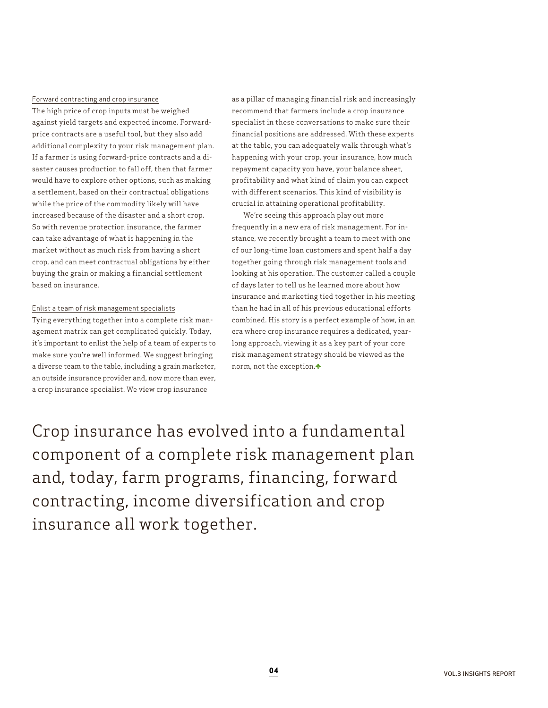# Forward contracting and crop insurance

The high price of crop inputs must be weighed against yield targets and expected income. Forwardprice contracts are a useful tool, but they also add additional complexity to your risk management plan. If a farmer is using forward-price contracts and a disaster causes production to fall off, then that farmer would have to explore other options, such as making a settlement, based on their contractual obligations while the price of the commodity likely will have increased because of the disaster and a short crop. So with revenue protection insurance, the farmer can take advantage of what is happening in the market without as much risk from having a short crop, and can meet contractual obligations by either buying the grain or making a financial settlement based on insurance.

# Enlist a team of risk management specialists

Tying everything together into a complete risk management matrix can get complicated quickly. Today, it's important to enlist the help of a team of experts to make sure you're well informed. We suggest bringing a diverse team to the table, including a grain marketer, an outside insurance provider and, now more than ever, a crop insurance specialist. We view crop insurance

as a pillar of managing financial risk and increasingly recommend that farmers include a crop insurance specialist in these conversations to make sure their financial positions are addressed. With these experts at the table, you can adequately walk through what's happening with your crop, your insurance, how much repayment capacity you have, your balance sheet, profitability and what kind of claim you can expect with different scenarios. This kind of visibility is crucial in attaining operational profitability.

We're seeing this approach play out more frequently in a new era of risk management. For instance, we recently brought a team to meet with one of our long-time loan customers and spent half a day together going through risk management tools and looking at his operation. The customer called a couple of days later to tell us he learned more about how insurance and marketing tied together in his meeting than he had in all of his previous educational efforts combined. His story is a perfect example of how, in an era where crop insurance requires a dedicated, yearlong approach, viewing it as a key part of your core risk management strategy should be viewed as the norm, not the exception.

Crop insurance has evolved into a fundamental component of a complete risk management plan and, today, farm programs, financing, forward contracting, income diversification and crop insurance all work together.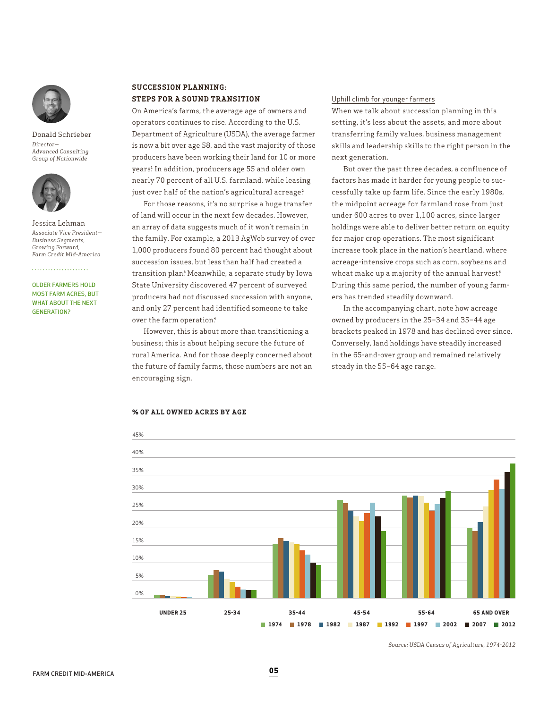

Donald Schrieber *Director— Advanced Consulting Group of Nationwide*



Jessica Lehman *Associate Vice President— Business Segments, Growing Forward, Farm Credit Mid-America*

OLDER FARMERS HOLD MOST FARM ACRES, BUT WHAT ABOUT THE NEXT GENERATION?

. . . . . . . . . . . . . . . . . . . .

# **SUCCESSION PLANNING: STEPS FOR A SOUND TRANSITION**

On America's farms, the average age of owners and operators continues to rise. According to the U.S. Department of Agriculture (USDA), the average farmer is now a bit over age 58, and the vast majority of those producers have been working their land for 10 or more years<del>!</del> In addition, producers age 55 and older own nearly 70 percent of all U.S. farmland, while leasing just over half of the nation's agricultural acreage?

For those reasons, it's no surprise a huge transfer of land will occur in the next few decades. However, an array of data suggests much of it won't remain in the family. For example, a 2013 AgWeb survey of over 1,000 producers found 80 percent had thought about succession issues, but less than half had created a transition plan.3 Meanwhile, a separate study by Iowa State University discovered 47 percent of surveyed producers had not discussed succession with anyone, and only 27 percent had identified someone to take over the farm operation.<sup>4</sup>

However, this is about more than transitioning a business; this is about helping secure the future of rural America. And for those deeply concerned about the future of family farms, those numbers are not an encouraging sign.

# Uphill climb for younger farmers

When we talk about succession planning in this setting, it's less about the assets, and more about transferring family values, business management skills and leadership skills to the right person in the next generation.

But over the past three decades, a confluence of factors has made it harder for young people to successfully take up farm life. Since the early 1980s, the midpoint acreage for farmland rose from just under 600 acres to over 1,100 acres, since larger holdings were able to deliver better return on equity for major crop operations. The most significant increase took place in the nation's heartland, where acreage-intensive crops such as corn, soybeans and wheat make up a majority of the annual harvest<sup>s</sup> During this same period, the number of young farmers has trended steadily downward.

In the accompanying chart, note how acreage owned by producers in the 25–34 and 35–44 age brackets peaked in 1978 and has declined ever since. Conversely, land holdings have steadily increased in the 65-and-over group and remained relatively steady in the 55–64 age range.



# **% OF ALL OWNED ACRES BY AGE**

*Source: USDA Census of Agriculture, 1974-2012*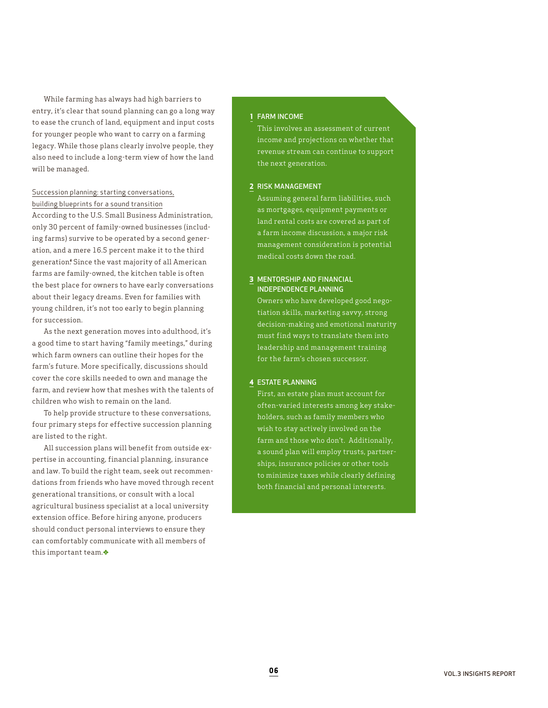While farming has always had high barriers to entry, it's clear that sound planning can go a long way to ease the crunch of land, equipment and input costs for younger people who want to carry on a farming legacy. While those plans clearly involve people, they also need to include a long-term view of how the land will be managed.

# Succession planning: starting conversations, building blueprints for a sound transition

According to the U.S. Small Business Administration, only 30 percent of family-owned businesses (including farms) survive to be operated by a second generation, and a mere 16.5 percent make it to the third generation.6 Since the vast majority of all American farms are family-owned, the kitchen table is often the best place for owners to have early conversations about their legacy dreams. Even for families with young children, it's not too early to begin planning for succession.

As the next generation moves into adulthood, it's a good time to start having "family meetings," during which farm owners can outline their hopes for the farm's future. More specifically, discussions should cover the core skills needed to own and manage the farm, and review how that meshes with the talents of children who wish to remain on the land.

To help provide structure to these conversations, four primary steps for effective succession planning are listed to the right.

All succession plans will benefit from outside expertise in accounting, financial planning, insurance and law. To build the right team, seek out recommendations from friends who have moved through recent generational transitions, or consult with a local agricultural business specialist at a local university extension office. Before hiring anyone, producers should conduct personal interviews to ensure they can comfortably communicate with all members of this important team.

# FARM INCOME

This involves an assessment of current income and projections on whether that revenue stream can continue to support the next generation.

### 2 RISK MANAGEMENT

Assuming general farm liabilities, such as mortgages, equipment payments or land rental costs are covered as part of a farm income discussion, a major risk management consideration is potential medical costs down the road.

### **3 MENTORSHIP AND FINANCIAL** INDEPENDENCE PLANNING

Owners who have developed good negotiation skills, marketing savvy, strong decision-making and emotional maturity must find ways to translate them into leadership and management training for the farm's chosen successor.

# ESTATE PLANNING 4

First, an estate plan must account for often-varied interests among key stakeholders, such as family members who wish to stay actively involved on the farm and those who don't. Additionally, a sound plan will employ trusts, partnerships, insurance policies or other tools to minimize taxes while clearly defining both financial and personal interests.